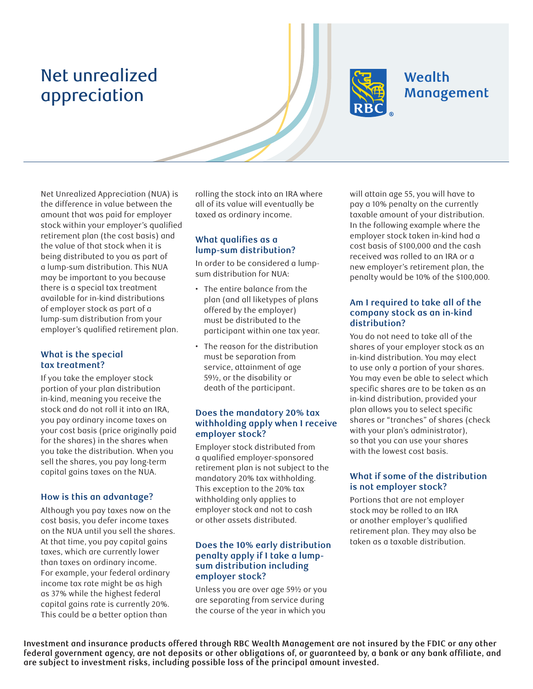# Net unrealized appreciation



# Wealth Management

Net Unrealized Appreciation (NUA) is the difference in value between the amount that was paid for employer stock within your employer's qualified retirement plan (the cost basis) and the value of that stock when it is being distributed to you as part of a lump-sum distribution. This NUA may be important to you because there is a special tax treatment available for in-kind distributions of employer stock as part of a lump-sum distribution from your employer's qualified retirement plan.

# **What is the special tax treatment?**

If you take the employer stock portion of your plan distribution in-kind, meaning you receive the stock and do not roll it into an IRA, you pay ordinary income taxes on your cost basis (price originally paid for the shares) in the shares when you take the distribution. When you sell the shares, you pay long-term capital gains taxes on the NUA.

# **How is this an advantage?**

Although you pay taxes now on the cost basis, you defer income taxes on the NUA until you sell the shares. At that time, you pay capital gains taxes, which are currently lower than taxes on ordinary income. For example, your federal ordinary income tax rate might be as high as 37% while the highest federal capital gains rate is currently 20%. This could be a better option than

rolling the stock into an IRA where all of its value will eventually be taxed as ordinary income.

# **What qualifies as a lump-sum distribution?**

In order to be considered a lumpsum distribution for NUA:

- The entire balance from the plan (and all liketypes of plans offered by the employer) must be distributed to the participant within one tax year.
- The reason for the distribution must be separation from service, attainment of age 59½, or the disability or death of the participant.

#### **Does the mandatory 20% tax withholding apply when I receive employer stock?**

Employer stock distributed from a qualified employer-sponsored retirement plan is not subject to the mandatory 20% tax withholding. This exception to the 20% tax withholding only applies to employer stock and not to cash or other assets distributed.

# **Does the 10% early distribution penalty apply if I take a lumpsum distribution including employer stock?**

Unless you are over age 59½ or you are separating from service during the course of the year in which you

will attain age 55, you will have to pay a 10% penalty on the currently taxable amount of your distribution. In the following example where the employer stock taken in-kind had a cost basis of \$100,000 and the cash received was rolled to an IRA or a new employer's retirement plan, the penalty would be 10% of the \$100,000.

#### **Am I required to take all of the company stock as an in-kind distribution?**

You do not need to take all of the shares of your employer stock as an in-kind distribution. You may elect to use only a portion of your shares. You may even be able to select which specific shares are to be taken as an in-kind distribution, provided your plan allows you to select specific shares or "tranches" of shares (check with your plan's administrator), so that you can use your shares with the lowest cost basis.

# **What if some of the distribution is not employer stock?**

Portions that are not employer stock may be rolled to an IRA or another employer's qualified retirement plan. They may also be taken as a taxable distribution.

**Investment and insurance products offered through RBC Wealth Management are not insured by the FDIC or any other**  federal government agency, are not deposits or other obligations of, or guaranteed by, a bank or any bank affiliate, and **are subject to investment risks, including possible loss of the principal amount invested.**